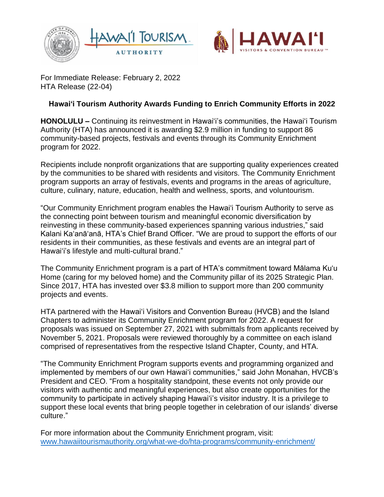



For Immediate Release: February 2, 2022 HTA Release (22-04)

## **Hawai'i Tourism Authority Awards Funding to Enrich Community Efforts in 2022**

**HONOLULU –** Continuing its reinvestment in Hawai'i's communities, the Hawai'i Tourism Authority (HTA) has announced it is awarding \$2.9 million in funding to support 86 community-based projects, festivals and events through its Community Enrichment program for 2022.

Recipients include nonprofit organizations that are supporting quality experiences created by the communities to be shared with residents and visitors. The Community Enrichment program supports an array of festivals, events and programs in the areas of agriculture, culture, culinary, nature, education, health and wellness, sports, and voluntourism.

"Our Community Enrichment program enables the Hawai'i Tourism Authority to serve as the connecting point between tourism and meaningful economic diversification by reinvesting in these community-based experiences spanning various industries," said Kalani Ka'anā'anā, HTA's Chief Brand Officer. "We are proud to support the efforts of our residents in their communities, as these festivals and events are an integral part of Hawai'i's lifestyle and multi-cultural brand."

The Community Enrichment program is a part of HTA's commitment toward Mālama Ku'u Home (caring for my beloved home) and the Community pillar of its 2025 Strategic Plan. Since 2017, HTA has invested over \$3.8 million to support more than 200 community projects and events.

HTA partnered with the Hawai'i Visitors and Convention Bureau (HVCB) and the Island Chapters to administer its Community Enrichment program for 2022. A request for proposals was issued on September 27, 2021 with submittals from applicants received by November 5, 2021. Proposals were reviewed thoroughly by a committee on each island comprised of representatives from the respective Island Chapter, County, and HTA.

"The Community Enrichment Program supports events and programming organized and implemented by members of our own Hawaiʻi communities," said John Monahan, HVCB's President and CEO. "From a hospitality standpoint, these events not only provide our visitors with authentic and meaningful experiences, but also create opportunities for the community to participate in actively shaping Hawaiʻi's visitor industry. It is a privilege to support these local events that bring people together in celebration of our islands' diverse culture."

For more information about the Community Enrichment program, visit: [www.hawaiitourismauthority.org/what-we-do/hta-programs/community-enrichment/](http://www.hawaiitourismauthority.org/what-we-do/hta-programs/community-enrichment/)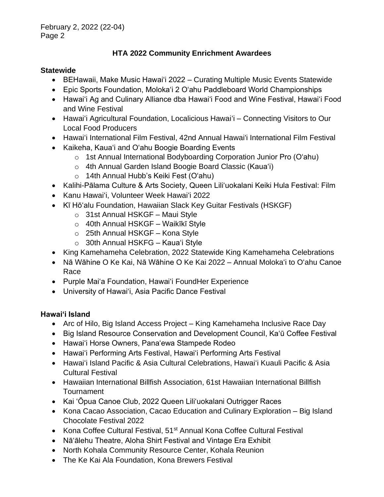# **HTA 2022 Community Enrichment Awardees**

### **Statewide**

- BEHawaii, Make Music Hawai'i 2022 Curating Multiple Music Events Statewide
- Epic Sports Foundation, Moloka'i 2 O'ahu Paddleboard World Championships
- Hawai'i Ag and Culinary Alliance dba Hawai'i Food and Wine Festival, Hawai'i Food and Wine Festival
- Hawai'i Agricultural Foundation, Localicious Hawai'i Connecting Visitors to Our Local Food Producers
- Hawai'i International Film Festival, 42nd Annual Hawai'i International Film Festival
- Kaikeha, Kaua'i and O'ahu Boogie Boarding Events
	- o 1st Annual International Bodyboarding Corporation Junior Pro (O'ahu)
	- o 4th Annual Garden Island Boogie Board Classic (Kaua'i)
	- o 14th Annual Hubb's Keiki Fest (O'ahu)
- Kalihi-Pālama Culture & Arts Society, Queen Liliʻuokalani Keiki Hula Festival: Film
- Kanu Hawai'i, Volunteer Week Hawai'i 2022
- Kī Hōʻalu Foundation, Hawaiian Slack Key Guitar Festivals (HSKGF)
	- o 31st Annual HSKGF Maui Style
	- $\circ$  40th Annual HSKGF Waikīkī Style
	- o 25th Annual HSKGF Kona Style
	- o 30th Annual HSKFG Kaua'i Style
- King Kamehameha Celebration, 2022 Statewide King Kamehameha Celebrations
- Nā Wāhine O Ke Kai, Nā Wāhine O Ke Kai 2022 Annual Moloka'i to O'ahu Canoe Race
- Purple Maiʻa Foundation, Hawaiʻi FoundHer Experience
- University of Hawai'i, Asia Pacific Dance Festival

# **Hawai'i Island**

- Arc of Hilo, Big Island Access Project King Kamehameha Inclusive Race Day
- Big Island Resource Conservation and Development Council, Ka'ū Coffee Festival
- Hawai'i Horse Owners, Pana'ewa Stampede Rodeo
- Hawai'i Performing Arts Festival, Hawai'i Performing Arts Festival
- Hawai'i Island Pacific & Asia Cultural Celebrations, Hawai'i Kuauli Pacific & Asia Cultural Festival
- Hawaiian International Billfish Association, 61st Hawaiian International Billfish Tournament
- Kai 'Ōpua Canoe Club, 2022 Queen Lili'uokalani Outrigger Races
- Kona Cacao Association, Cacao Education and Culinary Exploration Big Island Chocolate Festival 2022
- Kona Coffee Cultural Festival, 51<sup>st</sup> Annual Kona Coffee Cultural Festival
- Nā'ālehu Theatre, Aloha Shirt Festival and Vintage Era Exhibit
- North Kohala Community Resource Center, Kohala Reunion
- The Ke Kai Ala Foundation, Kona Brewers Festival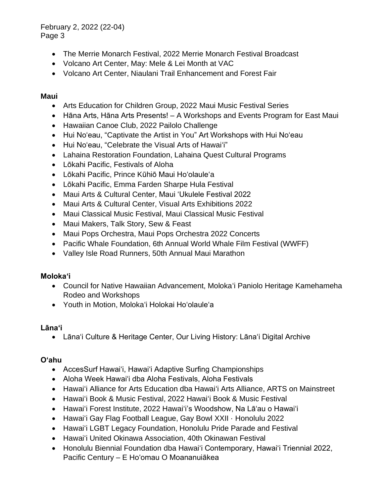February 2, 2022 (22-04) Page 3

- The Merrie Monarch Festival, 2022 Merrie Monarch Festival Broadcast
- Volcano Art Center, May: Mele & Lei Month at VAC
- Volcano Art Center, Niaulani Trail Enhancement and Forest Fair

### **Maui**

- Arts Education for Children Group, 2022 Maui Music Festival Series
- Hāna Arts, Hāna Arts Presents! A Workshops and Events Program for East Maui
- Hawaiian Canoe Club, 2022 Pailolo Challenge
- Hui Noʻeau, "Captivate the Artist in You" Art Workshops with Hui Noʻeau
- Hui Noʻeau, "Celebrate the Visual Arts of Hawai'i"
- Lahaina Restoration Foundation, Lahaina Quest Cultural Programs
- Lōkahi Pacific, Festivals of Aloha
- Lōkahi Pacific, Prince Kūhiō Maui Hoʻolauleʻa
- Lōkahi Pacific, Emma Farden Sharpe Hula Festival
- Maui Arts & Cultural Center, Maui ʻUkulele Festival 2022
- Maui Arts & Cultural Center, Visual Arts Exhibitions 2022
- Maui Classical Music Festival, Maui Classical Music Festival
- Maui Makers, Talk Story, Sew & Feast
- Maui Pops Orchestra, Maui Pops Orchestra 2022 Concerts
- Pacific Whale Foundation, 6th Annual World Whale Film Festival (WWFF)
- Valley Isle Road Runners, 50th Annual Maui Marathon

#### **Moloka'i**

- Council for Native Hawaiian Advancement, Molokaʻi Paniolo Heritage Kamehameha Rodeo and Workshops
- Youth in Motion, Molokaʻi Holokai Hoʻolauleʻa

#### **Lāna'i**

• Lānaʻi Culture & Heritage Center, Our Living History: Lānaʻi Digital Archive

### **O'ahu**

- AccesSurf Hawai'i, Hawai'i Adaptive Surfing Championships
- Aloha Week Hawai'i dba Aloha Festivals, Aloha Festivals
- Hawai'i Alliance for Arts Education dba Hawai'i Arts Alliance, ARTS on Mainstreet
- Hawai'i Book & Music Festival, 2022 Hawai'i Book & Music Festival
- Hawai'i Forest Institute, 2022 Hawai'i's Woodshow, Na Lā'au o Hawai'i
- Hawai'i Gay Flag Football League, Gay Bowl XXII · Honolulu 2022
- Hawai'i LGBT Legacy Foundation, Honolulu Pride Parade and Festival
- Hawai'i United Okinawa Association, 40th Okinawan Festival
- Honolulu Biennial Foundation dba Hawai'i Contemporary, Hawaiʻi Triennial 2022, Pacific Century – E Hoʻomau O Moananuiākea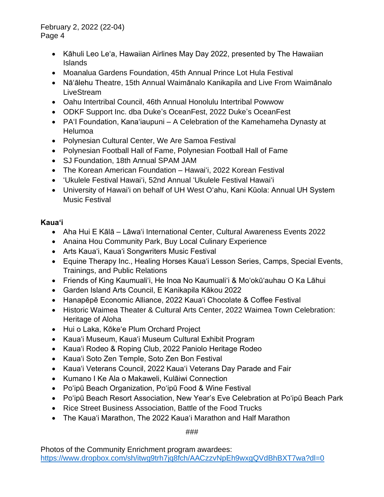February 2, 2022 (22-04) Page 4

- Kāhuli Leo Leʻa, Hawaiian Airlines May Day 2022, presented by The Hawaiian Islands
- Moanalua Gardens Foundation, 45th Annual Prince Lot Hula Festival
- Nā'ālehu Theatre, 15th Annual Waimānalo Kanikapila and Live From Waimānalo **LiveStream**
- Oahu Intertribal Council, 46th Annual Honolulu Intertribal Powwow
- ODKF Support Inc. dba Duke's OceanFest, 2022 Duke's OceanFest
- PA'I Foundation, Kanaʻiaupuni A Celebration of the Kamehameha Dynasty at Helumoa
- Polynesian Cultural Center, We Are Samoa Festival
- Polynesian Football Hall of Fame, Polynesian Football Hall of Fame
- SJ Foundation, 18th Annual SPAM JAM
- The Korean American Foundation Hawai'i, 2022 Korean Festival
- 'Ukulele Festival Hawai'i, 52nd Annual 'Ukulele Festival Hawai'i
- University of Hawai'i on behalf of UH West O'ahu, Kani Kūola: Annual UH System Music Festival

## **Kaua'i**

- Aha Hui E Kālā Lāwa'i International Center, Cultural Awareness Events 2022
- Anaina Hou Community Park, Buy Local Culinary Experience
- Arts Kaua'i, Kaua'i Songwriters Music Festival
- Equine Therapy Inc., Healing Horses Kaua'i Lesson Series, Camps, Special Events, Trainings, and Public Relations
- Friends of King Kaumuali'i, He Inoa No Kaumuali'i & Moʻokūʻauhau O Ka Lāhui
- Garden Island Arts Council, E Kanikapila Kākou 2022
- Hanapēpē Economic Alliance, 2022 Kaua'i Chocolate & Coffee Festival
- Historic Waimea Theater & Cultural Arts Center, 2022 Waimea Town Celebration: Heritage of Aloha
- Hui o Laka, Kōke'e Plum Orchard Project
- Kaua'i Museum, Kaua'i Museum Cultural Exhibit Program
- Kaua'i Rodeo & Roping Club, 2022 Paniolo Heritage Rodeo
- Kaua'i Soto Zen Temple, Soto Zen Bon Festival
- Kaua'i Veterans Council, 2022 Kaua'i Veterans Day Parade and Fair
- Kumano I Ke Ala o Makaweli, Kulāiwi Connection
- Po'ipū Beach Organization, Po'ipū Food & Wine Festival
- Po'ipū Beach Resort Association, New Year's Eve Celebration at Po'ipū Beach Park
- Rice Street Business Association, Battle of the Food Trucks
- The Kaua'i Marathon, The 2022 Kaua'i Marathon and Half Marathon

###

Photos of the Community Enrichment program awardees: <https://www.dropbox.com/sh/itwg9trh7jq8fch/AACzzvNpEh9wxgQVdBhBXT7wa?dl=0>